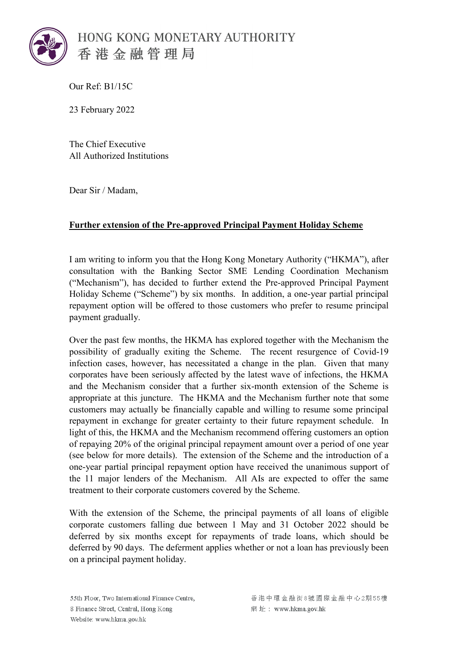

Our Ref: B1/15C

23 February 2022

The Chief Executive All Authorized Institutions

Dear Sir / Madam,

## **Further extension of the Pre-approved Principal Payment Holiday Scheme**

I am writing to inform you that the Hong Kong Monetary Authority ("HKMA"), after consultation with the Banking Sector SME Lending Coordination Mechanism ("Mechanism"), has decided to further extend the Pre-approved Principal Payment Holiday Scheme ("Scheme") by six months. In addition, a one-year partial principal repayment option will be offered to those customers who prefer to resume principal payment gradually.

Over the past few months, the HKMA has explored together with the Mechanism the possibility of gradually exiting the Scheme. The recent resurgence of Covid-19 infection cases, however, has necessitated a change in the plan. Given that many corporates have been seriously affected by the latest wave of infections, the HKMA and the Mechanism consider that a further six-month extension of the Scheme is appropriate at this juncture. The HKMA and the Mechanism further note that some customers may actually be financially capable and willing to resume some principal repayment in exchange for greater certainty to their future repayment schedule. In light of this, the HKMA and the Mechanism recommend offering customers an option of repaying 20% of the original principal repayment amount over a period of one year (see below for more details). The extension of the Scheme and the introduction of a one-year partial principal repayment option have received the unanimous support of the 11 major lenders of the Mechanism. All AIs are expected to offer the same treatment to their corporate customers covered by the Scheme.

With the extension of the Scheme, the principal payments of all loans of eligible corporate customers falling due between 1 May and 31 October 2022 should be deferred by six months except for repayments of trade loans, which should be deferred by 90 days. The deferment applies whether or not a loan has previously been on a principal payment holiday.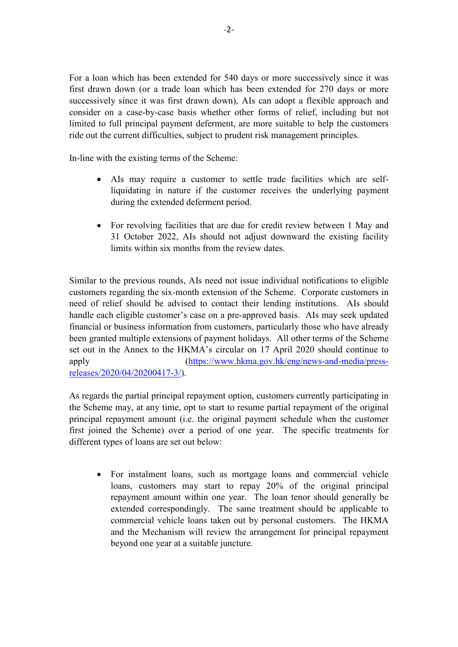For a loan which has been extended for 540 days or more successively since it was first drawn down (or a trade loan which has been extended for 270 days or more successively since it was first drawn down), AIs can adopt a flexible approach and consider on a case-by-case basis whether other forms of relief, including but not limited to full principal payment deferment, are more suitable to help the customers ride out the current difficulties, subject to prudent risk management principles.

In-line with the existing terms of the Scheme:

- AIs may require a customer to settle trade facilities which are selfliquidating in nature if the customer receives the underlying payment during the extended deferment period.
- For revolving facilities that are due for credit review between 1 May and 31 October 2022, AIs should not adjust downward the existing facility limits within six months from the review dates.

Similar to the previous rounds, AIs need not issue individual notifications to eligible customers regarding the six-month extension of the Scheme. Corporate customers in need of relief should be advised to contact their lending institutions. AIs should handle each eligible customer's case on a pre-approved basis. AIs may seek updated financial or business information from customers, particularly those who have already been granted multiple extensions of payment holidays. All other terms of the Scheme set out in the Annex to the HKMA's circular on 17 April 2020 should continue to apply [\(https://www.hkma.gov.hk/eng/news-and-media/press](https://www.hkma.gov.hk/eng/news-and-media/press-releases/2020/04/20200417-3/)[releases/2020/04/20200417-3/\)](https://www.hkma.gov.hk/eng/news-and-media/press-releases/2020/04/20200417-3/).

As regards the partial principal repayment option, customers currently participating in the Scheme may, at any time, opt to start to resume partial repayment of the original principal repayment amount (i.e. the original payment schedule when the customer first joined the Scheme) over a period of one year. The specific treatments for different types of loans are set out below:

• For instalment loans, such as mortgage loans and commercial vehicle loans, customers may start to repay 20% of the original principal repayment amount within one year. The loan tenor should generally be extended correspondingly. The same treatment should be applicable to commercial vehicle loans taken out by personal customers. The HKMA and the Mechanism will review the arrangement for principal repayment beyond one year at a suitable juncture.